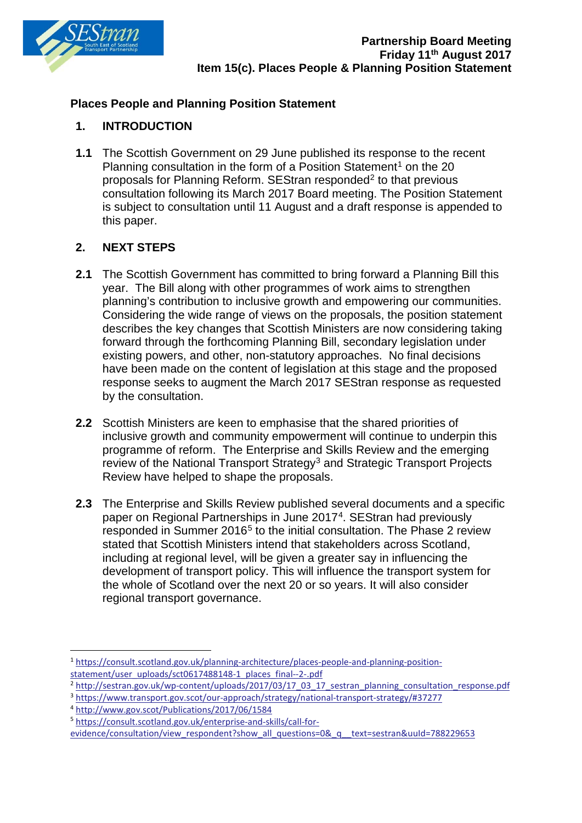

## **Places People and Planning Position Statement**

## **1. INTRODUCTION**

**1.1** The Scottish Government on 29 June published its response to the recent Planning consultation in the form of a Position Statement<sup>[1](#page-0-0)</sup> on the 20 proposals for Planning Reform. SEStran responded<sup>[2](#page-0-1)</sup> to that previous consultation following its March 2017 Board meeting. The Position Statement is subject to consultation until 11 August and a draft response is appended to this paper.

## **2. NEXT STEPS**

- **2.1** The Scottish Government has committed to bring forward a Planning Bill this year. The Bill along with other programmes of work aims to strengthen planning's contribution to inclusive growth and empowering our communities. Considering the wide range of views on the proposals, the position statement describes the key changes that Scottish Ministers are now considering taking forward through the forthcoming Planning Bill, secondary legislation under existing powers, and other, non-statutory approaches. No final decisions have been made on the content of legislation at this stage and the proposed response seeks to augment the March 2017 SEStran response as requested by the consultation.
- **2.2** Scottish Ministers are keen to emphasise that the shared priorities of inclusive growth and community empowerment will continue to underpin this programme of reform. The Enterprise and Skills Review and the emerging review of the National Transport Strategy<sup>3</sup> and Strategic Transport Projects Review have helped to shape the proposals.
- **2.3** The Enterprise and Skills Review published several documents and a specific paper on Regional Partnerships in June 2017[4.](#page-0-3) SEStran had previously responded in Summer 2016<sup>[5](#page-0-4)</sup> to the initial consultation. The Phase 2 review stated that Scottish Ministers intend that stakeholders across Scotland, including at regional level, will be given a greater say in influencing the development of transport policy. This will influence the transport system for the whole of Scotland over the next 20 or so years. It will also consider regional transport governance.

<span id="page-0-0"></span> <sup>1</sup> [https://consult.scotland.gov.uk/planning-architecture/places-people-and-planning-position](https://consult.scotland.gov.uk/planning-architecture/places-people-and-planning-position-statement/user_uploads/sct0617488148-1_places_final--2-.pdf)[statement/user\\_uploads/sct0617488148-1\\_places\\_final--2-.pdf](https://consult.scotland.gov.uk/planning-architecture/places-people-and-planning-position-statement/user_uploads/sct0617488148-1_places_final--2-.pdf)

<span id="page-0-1"></span><sup>2</sup> [http://sestran.gov.uk/wp-content/uploads/2017/03/17\\_03\\_17\\_sestran\\_planning\\_consultation\\_response.pdf](http://sestran.gov.uk/wp-content/uploads/2017/03/17_03_17_sestran_planning_consultation_response.pdf)

<span id="page-0-2"></span><sup>3</sup> <https://www.transport.gov.scot/our-approach/strategy/national-transport-strategy/#37277>

<span id="page-0-3"></span><sup>4</sup> <http://www.gov.scot/Publications/2017/06/1584>

<span id="page-0-4"></span><sup>5</sup> [https://consult.scotland.gov.uk/enterprise-and-skills/call-for-](https://consult.scotland.gov.uk/enterprise-and-skills/call-for-evidence/consultation/view_respondent?show_all_questions=0&_q__text=sestran&uuId=788229653)

[evidence/consultation/view\\_respondent?show\\_all\\_questions=0&\\_q\\_\\_text=sestran&uuId=788229653](https://consult.scotland.gov.uk/enterprise-and-skills/call-for-evidence/consultation/view_respondent?show_all_questions=0&_q__text=sestran&uuId=788229653)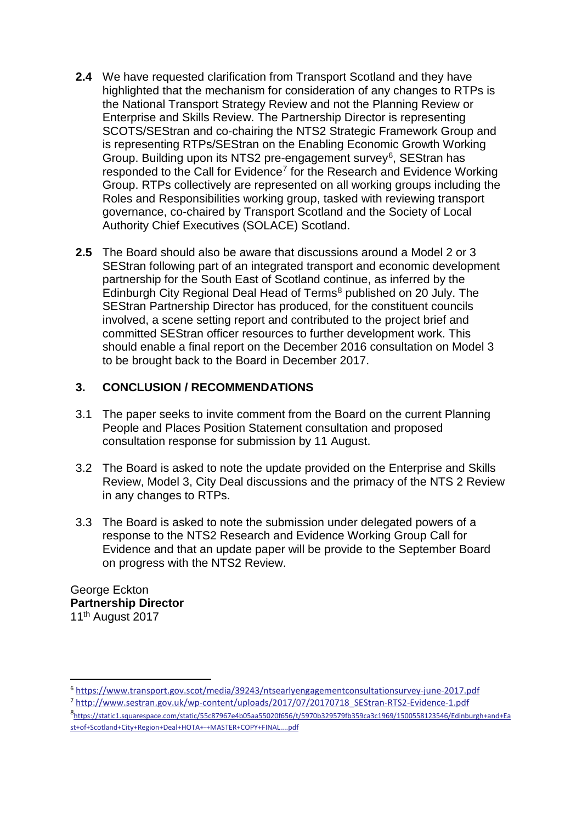- **2.4** We have requested clarification from Transport Scotland and they have highlighted that the mechanism for consideration of any changes to RTPs is the National Transport Strategy Review and not the Planning Review or Enterprise and Skills Review. The Partnership Director is representing SCOTS/SEStran and co-chairing the NTS2 Strategic Framework Group and is representing RTPs/SEStran on the Enabling Economic Growth Working Group. Building upon its NTS2 pre-engagement survey<sup>[6](#page-1-0)</sup>, SEStran has responded to the Call for Evidence<sup>7</sup> for the Research and Evidence Working Group. RTPs collectively are represented on all working groups including the Roles and Responsibilities working group, tasked with reviewing transport governance, co-chaired by Transport Scotland and the Society of Local Authority Chief Executives (SOLACE) Scotland.
- **2.5** The Board should also be aware that discussions around a Model 2 or 3 SEStran following part of an integrated transport and economic development partnership for the South East of Scotland continue, as inferred by the Edinburgh City Regional Deal Head of Terms<sup>[8](#page-1-2)</sup> published on 20 July. The SEStran Partnership Director has produced, for the constituent councils involved, a scene setting report and contributed to the project brief and committed SEStran officer resources to further development work. This should enable a final report on the December 2016 consultation on Model 3 to be brought back to the Board in December 2017.

### **3. CONCLUSION / RECOMMENDATIONS**

- 3.1 The paper seeks to invite comment from the Board on the current Planning People and Places Position Statement consultation and proposed consultation response for submission by 11 August.
- 3.2 The Board is asked to note the update provided on the Enterprise and Skills Review, Model 3, City Deal discussions and the primacy of the NTS 2 Review in any changes to RTPs.
- 3.3 The Board is asked to note the submission under delegated powers of a response to the NTS2 Research and Evidence Working Group Call for Evidence and that an update paper will be provide to the September Board on progress with the NTS2 Review.

George Eckton **Partnership Director** 11th August 2017

<span id="page-1-0"></span> <sup>6</sup> <https://www.transport.gov.scot/media/39243/ntsearlyengagementconsultationsurvey-june-2017.pdf>

<span id="page-1-1"></span><sup>7</sup> [http://www.sestran.gov.uk/wp-content/uploads/2017/07/20170718\\_SEStran-RTS2-Evidence-1.pdf](http://www.sestran.gov.uk/wp-content/uploads/2017/07/20170718_SEStran-RTS2-Evidence-1.pdf)

<span id="page-1-2"></span><sup>8</sup> [https://static1.squarespace.com/static/55c87967e4b05aa55020f656/t/5970b329579fb359ca3c1969/1500558123546/Edinburgh+and+Ea](https://static1.squarespace.com/static/55c87967e4b05aa55020f656/t/5970b329579fb359ca3c1969/1500558123546/Edinburgh+and+East+of+Scotland+City+Region+Deal+HOTA+-+MASTER+COPY+FINAL....pdf) [st+of+Scotland+City+Region+Deal+HOTA+-+MASTER+COPY+FINAL....pdf](https://static1.squarespace.com/static/55c87967e4b05aa55020f656/t/5970b329579fb359ca3c1969/1500558123546/Edinburgh+and+East+of+Scotland+City+Region+Deal+HOTA+-+MASTER+COPY+FINAL....pdf)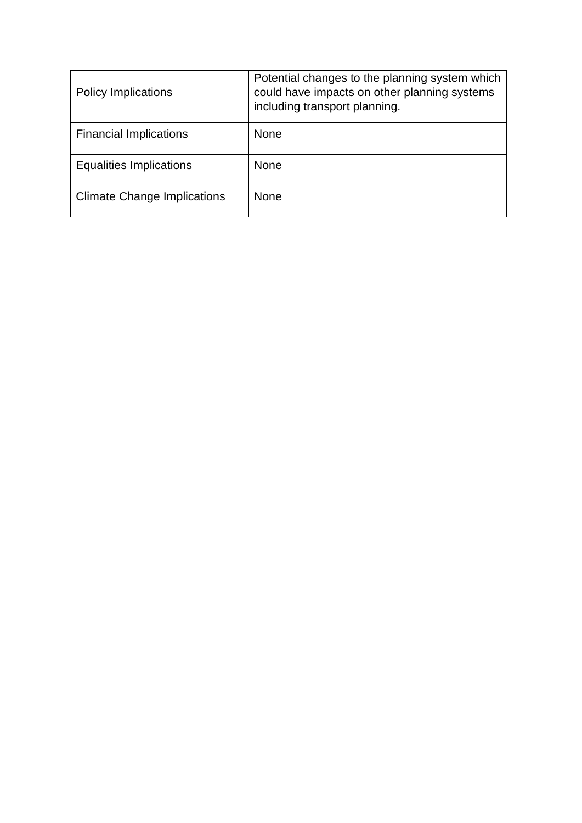| <b>Policy Implications</b>         | Potential changes to the planning system which<br>could have impacts on other planning systems<br>including transport planning. |
|------------------------------------|---------------------------------------------------------------------------------------------------------------------------------|
| <b>Financial Implications</b>      | <b>None</b>                                                                                                                     |
| <b>Equalities Implications</b>     | <b>None</b>                                                                                                                     |
| <b>Climate Change Implications</b> | <b>None</b>                                                                                                                     |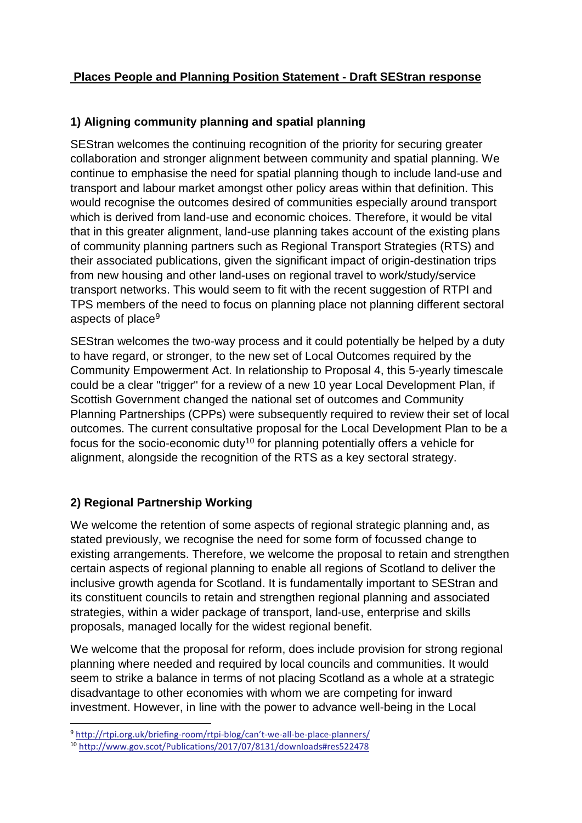# **Places People and Planning Position Statement - Draft SEStran response**

# **1) Aligning community planning and spatial planning**

SEStran welcomes the continuing recognition of the priority for securing greater collaboration and stronger alignment between community and spatial planning. We continue to emphasise the need for spatial planning though to include land-use and transport and labour market amongst other policy areas within that definition. This would recognise the outcomes desired of communities especially around transport which is derived from land-use and economic choices. Therefore, it would be vital that in this greater alignment, land-use planning takes account of the existing plans of community planning partners such as Regional Transport Strategies (RTS) and their associated publications, given the significant impact of origin-destination trips from new housing and other land-uses on regional travel to work/study/service transport networks. This would seem to fit with the recent suggestion of RTPI and TPS members of the need to focus on planning place not planning different sectoral aspects of place<sup>[9](#page-3-0)</sup>

SEStran welcomes the two-way process and it could potentially be helped by a duty to have regard, or stronger, to the new set of Local Outcomes required by the Community Empowerment Act. In relationship to Proposal 4, this 5-yearly timescale could be a clear "trigger" for a review of a new 10 year Local Development Plan, if Scottish Government changed the national set of outcomes and Community Planning Partnerships (CPPs) were subsequently required to review their set of local outcomes. The current consultative proposal for the Local Development Plan to be a focus for the socio-economic duty<sup>[10](#page-3-1)</sup> for planning potentially offers a vehicle for alignment, alongside the recognition of the RTS as a key sectoral strategy.

### **2) Regional Partnership Working**

We welcome the retention of some aspects of regional strategic planning and, as stated previously, we recognise the need for some form of focussed change to existing arrangements. Therefore, we welcome the proposal to retain and strengthen certain aspects of regional planning to enable all regions of Scotland to deliver the inclusive growth agenda for Scotland. It is fundamentally important to SEStran and its constituent councils to retain and strengthen regional planning and associated strategies, within a wider package of transport, land-use, enterprise and skills proposals, managed locally for the widest regional benefit.

We welcome that the proposal for reform, does include provision for strong regional planning where needed and required by local councils and communities. It would seem to strike a balance in terms of not placing Scotland as a whole at a strategic disadvantage to other economies with whom we are competing for inward investment. However, in line with the power to advance well-being in the Local

<span id="page-3-0"></span> <sup>9</sup> [http://rtpi.org.uk/briefing-room/rtpi-blog/can't-we-all-be-place-planners/](http://rtpi.org.uk/briefing-room/rtpi-blog/can)

<span id="page-3-1"></span><sup>10</sup> <http://www.gov.scot/Publications/2017/07/8131/downloads#res522478>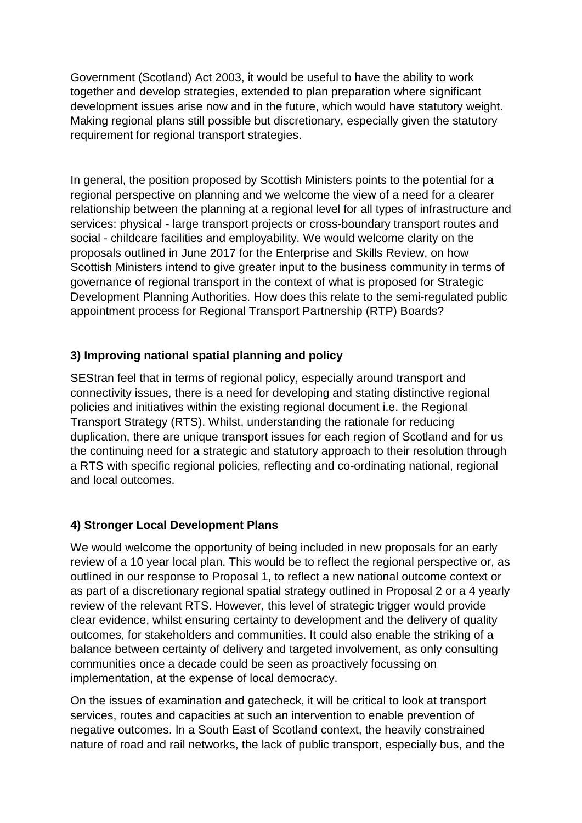Government (Scotland) Act 2003, it would be useful to have the ability to work together and develop strategies, extended to plan preparation where significant development issues arise now and in the future, which would have statutory weight. Making regional plans still possible but discretionary, especially given the statutory requirement for regional transport strategies.

In general, the position proposed by Scottish Ministers points to the potential for a regional perspective on planning and we welcome the view of a need for a clearer relationship between the planning at a regional level for all types of infrastructure and services: physical - large transport projects or cross-boundary transport routes and social - childcare facilities and employability. We would welcome clarity on the proposals outlined in June 2017 for the Enterprise and Skills Review, on how Scottish Ministers intend to give greater input to the business community in terms of governance of regional transport in the context of what is proposed for Strategic Development Planning Authorities. How does this relate to the semi-regulated public appointment process for Regional Transport Partnership (RTP) Boards?

# **3) Improving national spatial planning and policy**

SEStran feel that in terms of regional policy, especially around transport and connectivity issues, there is a need for developing and stating distinctive regional policies and initiatives within the existing regional document i.e. the Regional Transport Strategy (RTS). Whilst, understanding the rationale for reducing duplication, there are unique transport issues for each region of Scotland and for us the continuing need for a strategic and statutory approach to their resolution through a RTS with specific regional policies, reflecting and co-ordinating national, regional and local outcomes.

### **4) Stronger Local Development Plans**

We would welcome the opportunity of being included in new proposals for an early review of a 10 year local plan. This would be to reflect the regional perspective or, as outlined in our response to Proposal 1, to reflect a new national outcome context or as part of a discretionary regional spatial strategy outlined in Proposal 2 or a 4 yearly review of the relevant RTS. However, this level of strategic trigger would provide clear evidence, whilst ensuring certainty to development and the delivery of quality outcomes, for stakeholders and communities. It could also enable the striking of a balance between certainty of delivery and targeted involvement, as only consulting communities once a decade could be seen as proactively focussing on implementation, at the expense of local democracy.

On the issues of examination and gatecheck, it will be critical to look at transport services, routes and capacities at such an intervention to enable prevention of negative outcomes. In a South East of Scotland context, the heavily constrained nature of road and rail networks, the lack of public transport, especially bus, and the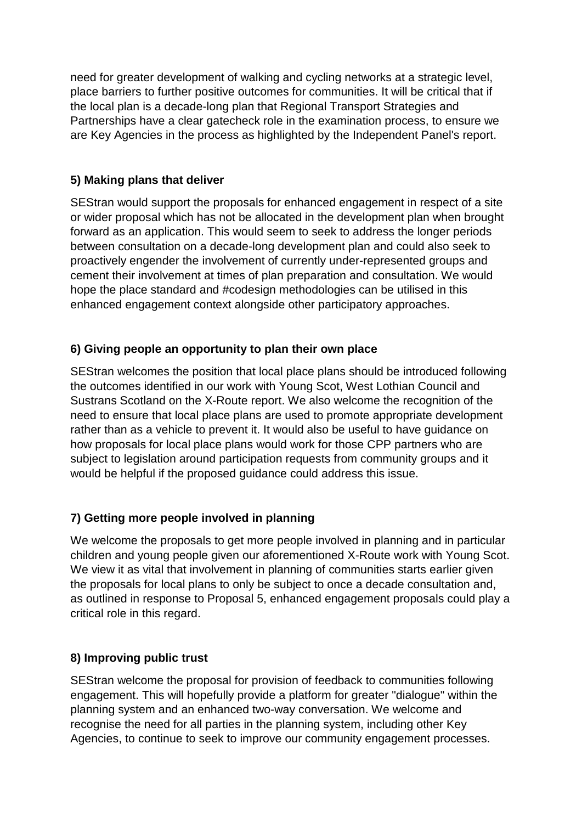need for greater development of walking and cycling networks at a strategic level, place barriers to further positive outcomes for communities. It will be critical that if the local plan is a decade-long plan that Regional Transport Strategies and Partnerships have a clear gatecheck role in the examination process, to ensure we are Key Agencies in the process as highlighted by the Independent Panel's report.

### **5) Making plans that deliver**

SEStran would support the proposals for enhanced engagement in respect of a site or wider proposal which has not be allocated in the development plan when brought forward as an application. This would seem to seek to address the longer periods between consultation on a decade-long development plan and could also seek to proactively engender the involvement of currently under-represented groups and cement their involvement at times of plan preparation and consultation. We would hope the place standard and #codesign methodologies can be utilised in this enhanced engagement context alongside other participatory approaches.

## **6) Giving people an opportunity to plan their own place**

SEStran welcomes the position that local place plans should be introduced following the outcomes identified in our work with Young Scot, West Lothian Council and Sustrans Scotland on the X-Route report. We also welcome the recognition of the need to ensure that local place plans are used to promote appropriate development rather than as a vehicle to prevent it. It would also be useful to have guidance on how proposals for local place plans would work for those CPP partners who are subject to legislation around participation requests from community groups and it would be helpful if the proposed guidance could address this issue.

# **7) Getting more people involved in planning**

We welcome the proposals to get more people involved in planning and in particular children and young people given our aforementioned X-Route work with Young Scot. We view it as vital that involvement in planning of communities starts earlier given the proposals for local plans to only be subject to once a decade consultation and, as outlined in response to Proposal 5, enhanced engagement proposals could play a critical role in this regard.

### **8) Improving public trust**

SEStran welcome the proposal for provision of feedback to communities following engagement. This will hopefully provide a platform for greater "dialogue" within the planning system and an enhanced two-way conversation. We welcome and recognise the need for all parties in the planning system, including other Key Agencies, to continue to seek to improve our community engagement processes.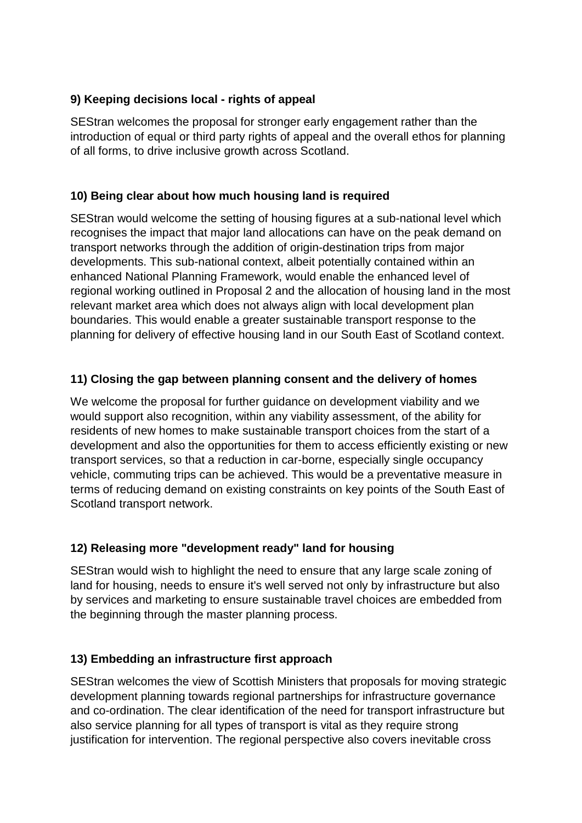### **9) Keeping decisions local - rights of appeal**

SEStran welcomes the proposal for stronger early engagement rather than the introduction of equal or third party rights of appeal and the overall ethos for planning of all forms, to drive inclusive growth across Scotland.

# **10) Being clear about how much housing land is required**

SEStran would welcome the setting of housing figures at a sub-national level which recognises the impact that major land allocations can have on the peak demand on transport networks through the addition of origin-destination trips from major developments. This sub-national context, albeit potentially contained within an enhanced National Planning Framework, would enable the enhanced level of regional working outlined in Proposal 2 and the allocation of housing land in the most relevant market area which does not always align with local development plan boundaries. This would enable a greater sustainable transport response to the planning for delivery of effective housing land in our South East of Scotland context.

## **11) Closing the gap between planning consent and the delivery of homes**

We welcome the proposal for further guidance on development viability and we would support also recognition, within any viability assessment, of the ability for residents of new homes to make sustainable transport choices from the start of a development and also the opportunities for them to access efficiently existing or new transport services, so that a reduction in car-borne, especially single occupancy vehicle, commuting trips can be achieved. This would be a preventative measure in terms of reducing demand on existing constraints on key points of the South East of Scotland transport network.

### **12) Releasing more "development ready" land for housing**

SEStran would wish to highlight the need to ensure that any large scale zoning of land for housing, needs to ensure it's well served not only by infrastructure but also by services and marketing to ensure sustainable travel choices are embedded from the beginning through the master planning process.

### **13) Embedding an infrastructure first approach**

SEStran welcomes the view of Scottish Ministers that proposals for moving strategic development planning towards regional partnerships for infrastructure governance and co-ordination. The clear identification of the need for transport infrastructure but also service planning for all types of transport is vital as they require strong justification for intervention. The regional perspective also covers inevitable cross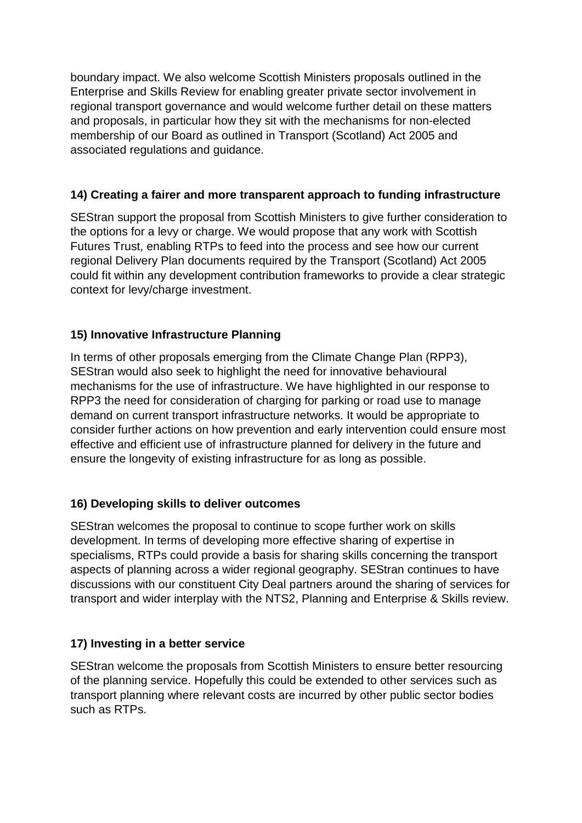boundary impact. We also welcome Scottish Ministers proposals outlined in the Enterprise and Skills Review for enabling greater private sector involvement in regional transport governance and would welcome further detail on these matters and proposals, in particular how they sit with the mechanisms for non-elected membership of our Board as outlined in Transport (Scotland) Act 2005 and associated regulations and guidance.

## **14) Creating a fairer and more transparent approach to funding infrastructure**

SEStran support the proposal from Scottish Ministers to give further consideration to the options for a levy or charge. We would propose that any work with Scottish Futures Trust, enabling RTPs to feed into the process and see how our current regional Delivery Plan documents required by the Transport (Scotland) Act 2005 could fit within any development contribution frameworks to provide a clear strategic context for levy/charge investment.

## **15) Innovative Infrastructure Planning**

In terms of other proposals emerging from the Climate Change Plan (RPP3), SEStran would also seek to highlight the need for innovative behavioural mechanisms for the use of infrastructure. We have highlighted in our response to RPP3 the need for consideration of charging for parking or road use to manage demand on current transport infrastructure networks. It would be appropriate to consider further actions on how prevention and early intervention could ensure most effective and efficient use of infrastructure planned for delivery in the future and ensure the longevity of existing infrastructure for as long as possible.

### **16) Developing skills to deliver outcomes**

SEStran welcomes the proposal to continue to scope further work on skills development. In terms of developing more effective sharing of expertise in specialisms, RTPs could provide a basis for sharing skills concerning the transport aspects of planning across a wider regional geography. SEStran continues to have discussions with our constituent City Deal partners around the sharing of services for transport and wider interplay with the NTS2, Planning and Enterprise & Skills review.

### **17) Investing in a better service**

SEStran welcome the proposals from Scottish Ministers to ensure better resourcing of the planning service. Hopefully this could be extended to other services such as transport planning where relevant costs are incurred by other public sector bodies such as RTPs.